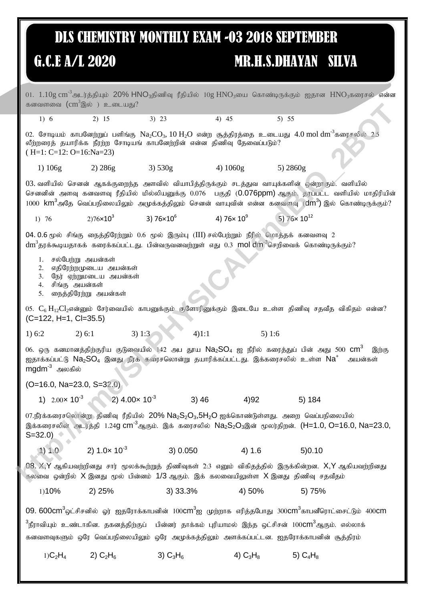## **DLS CHEMISTRY MONTHLY EXAM -03 2018 SEPTEMBER**

## G.C.E A/L 2020

## **MR.H.S.DHAYAN SILVA**

01.  $1.10$ g cm $^{-3}$ அடர்த்தியும்  $20\%$  HNO<sub>3</sub>திணிவு ரீதியில்  $10$ g HNO<sub>3</sub>யை கொண்டிருக்கும் ஐதான HNO<sub>3</sub>கரைசல் என்ன கனவளவை  $\text{(cm}^3\textcircled{a}$ ல் ) உடையது?  $1) 6$  $2) 15$  $3) 23$  $4)$  45  $5) 55$ 02. சோடியம் காபனேற்றுப் பளிங்கு  $\rm Na_2CO_3$ , 10  $\rm H_2O$  என்ற சூத்திரத்தை உடையது 4.0 mol  $\rm dm^3$ கரைசலில் 2.5 லீற்றரைத் தயாரிக்க நீரற்ற சோடியங் காபனேற்றின் என்ன திணிவு தேவைப்படும்?  $(H=1: C=12: O=16:Na=23)$ 3)  $530g$ 4)  $1060g$ 1) 106g  $2) 286g$ 5)  $2860g$ 03. வளியில் செனன் ஆகக்குறைந்த அளவில் வியாபித்திருக்கும் சடத்துவ வாயுக்களின் ஒன்றாகும். வளியில் செனனின் அளவு கனவளவு ரீதியில் மில்லியனுக்கு 0.076 பகுதி (**0.076ppm)** ஆகும். தரப்பட்ட வளியில் மாதிரியின் 1000  $\text{km}^3$ அதே வெப்பநிலையிலும் அமுக்கத்திலும் செனன் வாயுவின் என்ன கனவளவு  $(\text{dm}^3)$  இல் கொண்டிருக்கும்? 3)  $76 \times 10^6$ 4)  $76 \times 10^9$  $5)$  76 $\times$  10<sup>12</sup>  $2)76 \times 10^3$  $1)76$ 04.0.6 மூல் சிங்கு நைத்திரேற்றும் 0.6 மூல் இரும்பு (III) சல்பேற்றும் நீரில் மொத்தக் கனவளவு 2  $\,\mathrm{dm}^3$ தரக்கூடியதாகக் கரைக்கப்பட்டது. பின்வருவனவற்றுள் எது 0.3  $\,$  mol  $\,\mathrm{dm}^3$ செறிவைக் கொண்டிருக்கும்? 1. சல்பேற்று அயன்கள் 2. எதிரேற்றமுடைய அயன்கள் 3. நேர் ஏற்றுமடைய அயன்கள் 4. சிங்கு அயன்கள் 5. நைத்திரேற்று அயன்கள் 05.  $C_6$   $H_{12}Cl_2$ என்னும் சேர்வையில் காபனுக்கும் குளோரினுக்கும் இடையே உள்ள கிணிவு சகவீக விகிகம் என்ன?  $(C=122, H=1, C=35.5)$  $3) 1:3$  $4)1:1$  $1) 6:2$  $2) 6:1$ 5)  $1.6$ 06. ஒரு கனமானத்திற்குரிய குடுவையில் 142 அப தூய Na2 $\mathsf{SO}_4$  ஐ நீரில் கரைத்துப் பின் அது 500  $\mathsf{cm}^3$ இந்கு ஐதாக்கப்பட்டு Na<sub>2</sub>SO<sub>4</sub> இனது நீர்க் கரைசஸொன்று தயாரிக்கப்பட்டது. இக்கரைசலில் உள்ள Na<sup>+</sup> அயன்கள்  $mgdm^3$  அலகில்  $(O=16.0, Na=23.0, S=32.0)$ 1)  $2.00 \times 10^{-3}$  2)  $4.00 \times 10^{-3}$  $(3)$  46  $4)92$  $5)184$ 07.நீர்க்கரைசலொன்று திணிவு ரீதியில் 20%  $\textsf{Na}_2\textsf{S}_2\textsf{O}_3,5\textsf{H}_2\textsf{O}$  ஐக்கொண்டுள்ளது. அறை வெப்பநிலையில் இக்கரைசலின் அடர்த்தி 1.24g cm<sup>-3</sup>ஆகும். இக் கரைசலில் Na<sub>2</sub>S<sub>2</sub>O<sub>3</sub>இன் மூலர்திறன். (H=1.0, O=16.0, Na=23.0,  $S = 32.0$ 2)  $1.0 \times 10^{-3}$  $(1) 1.0$ 3) 0.050  $4) 1.6$  $5)0.10$ 08. X,Y ஆகியவற்றினது சார் மூலக்கூற்றுத் திணிவுகள் 2:3 எனும் விகிதத்தில் இருக்கின்றன. X,Y ஆகியவற்றினது கலவை ஒன்றில்  $X$  இனது மூல் பின்னம்  $1/3$  ஆகும். இக் கலவையிலுள்ள  $X$  இனது திணிவு சதவீதம் 3) 33.3% 4) 50% 1)10%  $2)$  25% 5) 75%  $09.600$ cm $^3$ ஒட்சிசனில் ஓர் ஐதரோக்காபனின் 100 $\textsf{cm}^3$ ஐ முற்றாக எரித்தபோது 300 $\textsf{cm}^3$ காபனீரொட்சைட்டும் 400 $\textsf{cm}$ <sup>3</sup>நீராவியும் உண்டாகின. தகனத்திற்குப் பின்னர் தாக்கம் புரியாமல் இந்த ஒட்சிசன் 100**CM**<sup>3</sup>ஆகும். எல்லாக் கனவளவுகளும் ஒரே வெப்பநிலையிலும் ஒரே அமுக்கக்கிலும் அளக்கப்பட்டன. ஐதரோக்காபனின் சூக்கிரம்  $1)C<sub>2</sub>H<sub>4</sub>$ 2)  $C_2H_6$ 3)  $C_3H_6$ 4)  $C_3H_8$ 5)  $C_4H_8$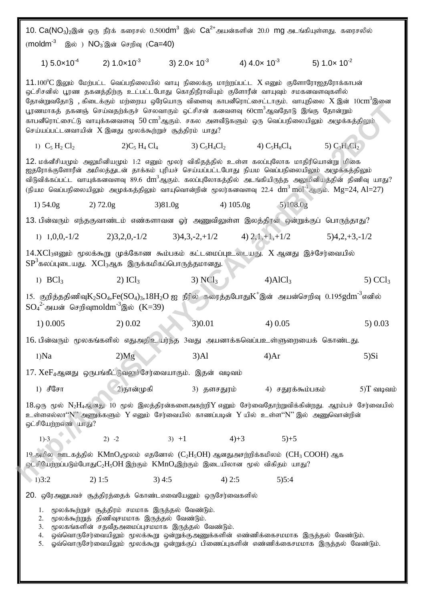|                                                                                       |                                                                                                                                                      |                         |                                                                                                                                                                                                                                                                                                                       | $10. Ca(NO_3)$ 2இன் ஒரு நீர்க் கரைசல் $0.500$ dm $^3$ இல் $Ca^{2+}$ அயன்களின் 20.0 mg அடங்கியுள்ளது. கரைசலில்                                                                                                                                                                                                                                                  |  |  |  |  |  |  |  |
|---------------------------------------------------------------------------------------|------------------------------------------------------------------------------------------------------------------------------------------------------|-------------------------|-----------------------------------------------------------------------------------------------------------------------------------------------------------------------------------------------------------------------------------------------------------------------------------------------------------------------|----------------------------------------------------------------------------------------------------------------------------------------------------------------------------------------------------------------------------------------------------------------------------------------------------------------------------------------------------------------|--|--|--|--|--|--|--|
| $\mathsf{moldm}^3$                                                                    | இல் ) NO <sub>3</sub> இன் செறிவு (Ca=40)                                                                                                             |                         |                                                                                                                                                                                                                                                                                                                       |                                                                                                                                                                                                                                                                                                                                                                |  |  |  |  |  |  |  |
|                                                                                       | 1) $5.0 \times 10^{-4}$ 2) $1.0 \times 10^{-3}$                                                                                                      | 3) $2.0 \times 10^{-3}$ | 4) $4.0 \times 10^{-3}$                                                                                                                                                                                                                                                                                               | 5) $1.0 \times 10^{-2}$                                                                                                                                                                                                                                                                                                                                        |  |  |  |  |  |  |  |
|                                                                                       | செய்யப்பட்டனவாயின் X இனது மூலக்கூற்றுச் சூத்திரம் யாது?                                                                                              |                         | $11.100^{\circ}\textrm{C}$ இலும் மேற்பட்ட வெப்பநிலையில் வாயு நிலைக்கு மாற்றப்பட்ட $\textrm{X}$ எனும் குளோரோஐதரோக்காபன்<br>ஒட்சிசனில் பூரண தகனத்திற்கு உட்பட்டபோது கொதிநீராவியும் குளோரீன் வாயுவும் சமகனவளவுகளில்<br>பூரணமாகத் தகனஞ் செய்வதற்க்குச் செலவாகும் ஒட்சிசன் கனவளவு 60 $\mathrm{cm}^3$ ஆவதோடு இங்கு தோன்றும் | தோன்றுவதோடு , கிடைக்கும் மற்றைய ஒரேயொரு விளைவு காபனீரொட்சைட்டாகும். வாயுநிலை ${\rm X}$ இன் $10\mathrm{cm}^3$ இனை<br>காபனீரொட்சைட்டு வாயுக்கனவளவு $50\,\rm cm^3$ ஆகும். சகல அளவீடுகளும் ஒரு வெப்பநிலையிலும் அமுக்கத்திலும்                                                                                                                                      |  |  |  |  |  |  |  |
| 1) $C_5 H_2 Cl_2$                                                                     | $2)C_5H_4Cl_4$                                                                                                                                       | 3) $C_5H_4Cl_2$         | 4) $C_5H_8Cl_4$                                                                                                                                                                                                                                                                                                       | 5) $C_3H_4Cl_2$                                                                                                                                                                                                                                                                                                                                                |  |  |  |  |  |  |  |
|                                                                                       |                                                                                                                                                      |                         | 12. மக்னீசியமும் அலுமினியமும் 1:2 எனும் மூலர் விகிதத்தில் உள்ள கலப்புலோக மாதிரியொன்று மிகை                                                                                                                                                                                                                            | ஐதரோக்குளோரீன் அமிலத்துடன் தாக்கம் புரியச் செய்யப்பட்டபோது நியம வெப்பநிலையிலும் அமுக்கத்திலும்<br>விடுவிக்கப்பட்ட வாயுக்கனவளவு 89.6 $\rm{dm}^3$ ஆகும். கலப்புலோகத்தில் அடங்கியிருந்த அலுமினியத்தின் திணிவு யாது?<br>(நியம வெப்பநிலையிலும் அமுக்கத்திலும் வாயுவொன்றின் மூலர்கனவளவு 22.4 $\text{dm}^3 \text{ mol}^{-1}$ ஆகும். $\text{Mg}{=}24, \text{Al}{=}27)$ |  |  |  |  |  |  |  |
| $1)$ 54.0g                                                                            | 2) 72.0g                                                                                                                                             | 3)81.0g                 | 4) $105.0g$                                                                                                                                                                                                                                                                                                           | 5)108.0g                                                                                                                                                                                                                                                                                                                                                       |  |  |  |  |  |  |  |
| 13. பின்வரும் எந்தகுவாண்டம் எண்களாவன ஓர் அணுவிலுள்ள இலத்திரன் ஒன்றுக்குப் பொருந்தாது? |                                                                                                                                                      |                         |                                                                                                                                                                                                                                                                                                                       |                                                                                                                                                                                                                                                                                                                                                                |  |  |  |  |  |  |  |
|                                                                                       |                                                                                                                                                      |                         | 1) $1,0,0,-1/2$ 2) $3,2,0,-1/2$ 3) $4,3,-2,+1/2$ 4) $2,1,+1,+1/2$                                                                                                                                                                                                                                                     | $5)4,2,+3,-1/2$                                                                                                                                                                                                                                                                                                                                                |  |  |  |  |  |  |  |
|                                                                                       | ${\rm SP}^3$ கலப்புடையது. ${\rm XCl}_3$ ஆக இருக்கமிகப்பொருத்தமானது.                                                                                  |                         | $14.XCl3$ எனும் மூலக்கூறு முக்கோண கூம்பகம் கட்டமைப்புஉடையது. $X$ ஆனது இச்சேர்வையில்                                                                                                                                                                                                                                   |                                                                                                                                                                                                                                                                                                                                                                |  |  |  |  |  |  |  |
| 1) $BCl3$                                                                             | $2)$ ICl <sub>3</sub>                                                                                                                                | $3)$ NCl <sub>3</sub>   | $4)$ AlCl <sub>3</sub>                                                                                                                                                                                                                                                                                                | $5)$ CCl <sub>3</sub>                                                                                                                                                                                                                                                                                                                                          |  |  |  |  |  |  |  |
|                                                                                       | $SO_4^2$ அயன் செறிவுmoldm $3^3$ இல் (K=39)                                                                                                           |                         |                                                                                                                                                                                                                                                                                                                       | 15. குறித்ததிணிவு $K_2SO_4$ , $Fe(SO_4)_3$ , $18H_2O$ ஐ நீரில் கரைத்தபோது $K^+$ இன் அயன்செறிவு 0.195 $g$ dm $^{-3}$ எனில்                                                                                                                                                                                                                                      |  |  |  |  |  |  |  |
| 1) 0.005                                                                              | 2) 0.02                                                                                                                                              | 3)0.01                  | 4) 0.05                                                                                                                                                                                                                                                                                                               | $5)$ 0.03                                                                                                                                                                                                                                                                                                                                                      |  |  |  |  |  |  |  |
|                                                                                       |                                                                                                                                                      |                         | 16. பின்வரும் மூலகங்களில் எதுஅதிஉயர்ந்த 3வது அயனாக்கவெப்பஉள்ளுறையைக் கொண்டது.                                                                                                                                                                                                                                         |                                                                                                                                                                                                                                                                                                                                                                |  |  |  |  |  |  |  |
| $1)$ Na                                                                               | 2)Mg                                                                                                                                                 | 3)Al                    | 4)Ar                                                                                                                                                                                                                                                                                                                  | 5)Si                                                                                                                                                                                                                                                                                                                                                           |  |  |  |  |  |  |  |
|                                                                                       | $17. XeF_4$ ஆனது ஒருபங்கீட்டுவலுச்சேர்வையாகும். இதன் வடிவம்                                                                                          |                         |                                                                                                                                                                                                                                                                                                                       |                                                                                                                                                                                                                                                                                                                                                                |  |  |  |  |  |  |  |
| 1) சீசோ                                                                               | 2)நான்முகி                                                                                                                                           |                         | 3) தளசதுரம்                                                                                                                                                                                                                                                                                                           | $5)$ $T$ வடிவம்<br>4) சதுரக்கூம்பகம்                                                                                                                                                                                                                                                                                                                           |  |  |  |  |  |  |  |
| ஒட்சியேற்றஎண் யாது?                                                                   |                                                                                                                                                      |                         | உள்ளஎல்லா'' ${\rm N}$ '' அணுக்களும் $\;{\rm Y}$ எனும் சேர்வையில் காணப்படின் $\;{\rm Y}$ யில் உள்ள'' ${\rm N}$ '' இல் அணுவொன்றின்                                                                                                                                                                                      | $18.96$ மூல் $N_2H_4$ ஆனது 10 மூல் இலத்திரன்களைஅகற்றி $Y$ எனும் சேர்வைதோற்றுவிக்கின்றது. ஆரம்பச் சேர்வையில்                                                                                                                                                                                                                                                    |  |  |  |  |  |  |  |
| $1)-3$                                                                                | $2) -2$                                                                                                                                              | $3) +1$                 | $4)+3$<br>$5+5$                                                                                                                                                                                                                                                                                                       |                                                                                                                                                                                                                                                                                                                                                                |  |  |  |  |  |  |  |
|                                                                                       |                                                                                                                                                      |                         | $19.$ அமில ஊடகத்தில் $\rm\,KMnO_{4}$ மூலம் எதனோல் $\rm(C_{2}H_{5}OH)$ ஆனதுஅசற்றிக்கமிலம் $\rm\,CH_{3}$ $\rm COOH$ ) ஆக<br>ஓட்சியேற்றப்படும்போது $C_2H_5OH$ இற்கும் $\,$ K $M$ n $O_4$ இற்கும் இடையிலான மூல் விகிதம் யாது $?$                                                                                          |                                                                                                                                                                                                                                                                                                                                                                |  |  |  |  |  |  |  |
| 1)3:2                                                                                 | 2) 1:5                                                                                                                                               | 3)4:5                   | 4) 2:5<br>5)5:4                                                                                                                                                                                                                                                                                                       |                                                                                                                                                                                                                                                                                                                                                                |  |  |  |  |  |  |  |
|                                                                                       | 20. ஒரேஅனுபவச் சூத்திரத்தைக் கொண்டஎவையேனும் ஒருசேர்வைகளில்                                                                                           |                         |                                                                                                                                                                                                                                                                                                                       |                                                                                                                                                                                                                                                                                                                                                                |  |  |  |  |  |  |  |
| 1.<br>2.<br>3.<br>4.<br>5.                                                            | மூலக்கூற்றுச் சூத்திரம் சமமாக இருத்தல் வேண்டும்.<br>மூலக்கூற்றுத் திணிவுசமமாக இருத்தல் வேண்டும்.<br>மூலகங்களின் சதவீதஅமைப்புசமமாக இருத்தல் வேண்டும். |                         | ஒவ்வொருசேர்வையிலும் மூலக்கூறு ஒன்றுக்குஅணுக்களின் எண்ணிக்கைசமமாக இருத்தல் வேண்டும்.                                                                                                                                                                                                                                   | ஓவ்வொருசேர்வையிலும் மூலக்கூறு ஒன்றுக்குப் பிணைப்புகளின் எண்ணிக்கைசமமாக இருத்தல் வேண்டும்.                                                                                                                                                                                                                                                                      |  |  |  |  |  |  |  |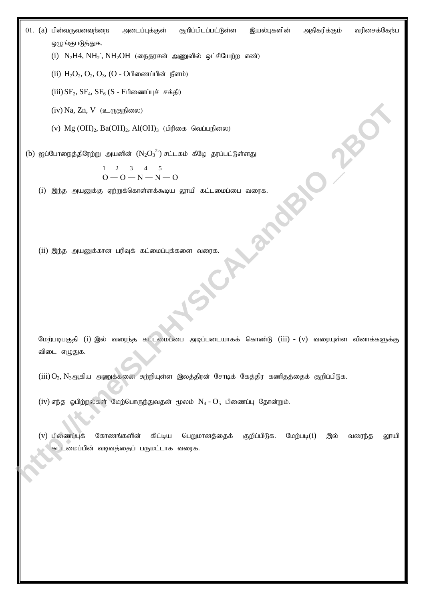01. (a) பின்வருவனவர்றை அடைப்புக்குள் குறிப்பிடப்பட்டுள்ள இயல்புகளின் அதிகரிக்கும் வரிசைக்கேற்ப ஒழுங்குபடுத்துக.

 $(i)$  N<sub>2</sub>H4, NH<sub>2</sub>, NH<sub>2</sub>OH (நைதரசன் அணுவில் ஒட்சியேற்ற எண்)

(ii)  $H_2O_2$ ,  $O_2$ ,  $O_3$ , (O - Oபிணைப்பின் நீளம்)

(iii)  $SF_2$ ,  $SF_4$ ,  $SF_6$  (S - Fபிணைப்புச் சக்தி)

 $(iv)$  Na, Zn, V  $(\triangle_{\text{L}}(x))$ 

(v)  $Mg$  (OH)<sub>2</sub>, Ba(OH)<sub>2</sub>, Al(OH)<sub>3</sub> (பிரிகை வெப்பநிலை)

(b) ஐப்போநைத்திரேற்று அயனின்  $\left({\rm N_2O_3}^2\right)$  சட்டகம் கீழே தரப்பட்டுள்ளது

$$
\begin{array}{cccc}\n1 & 2 & 3 & 4 & 5 \\
0 & -0 & -N & -N & -C\n\end{array}
$$

 $(i)$  இந்த அயனுக்கு ஏற்றுக்கொள்ளக்கூடிய லூயி கட்டமைப்பை வரைக.

 $(ii)$  இந்த அயனுக்கான பரிவுக் கட்மைப்புக்களை வரைக.

மேற்படிபகுதி (i) இல் வரைந்த கட்டமைப்பை அடிப்படையாகக் கொண்டு (iii) - (v) வரையுள்ள வினாக்களுக்கு விடை எழுதுக.

 $(iii) O<sub>2</sub>$ ,  $N<sub>3</sub>$ ஆகிய அணுக்கனை சுற்றியுள்ள இலத்திரன் சோடிக் கேத்திர கணிதத்தைக் குறிப்பிடுக.

(iv) எந்த ஓபிற்றல்கள் மேற்பொருந்துவதன் மூலம்  $N_4 - O_5$  பிணைப்பு தோன்றும்.

 $(v)$  பிணைப்புக் கோணங்களின் கிட்டிய பெறுமானத்தைக் குறிப்பிடுக. மேற்படி $(i)$  இல் வரைந்த லூயி கட்டமைப்பின் வடிவத்தைப் பருமட்டாக வரைக. (iv) Na, Za, V (\* 0380)<br>
(i) Mg (OID, Ba(OID, Al(OID, (i)<br>
(i) eyi Gamagaday02, jiga ayanadad (Na), ") ari ada Kiliy gayim (iyahaya<br>
(i) eyi Gamagaday02, siga ayanadad (Na), ") ari ada Kiliy gayim (iyahaya<br>
(ii) Ojay, sam